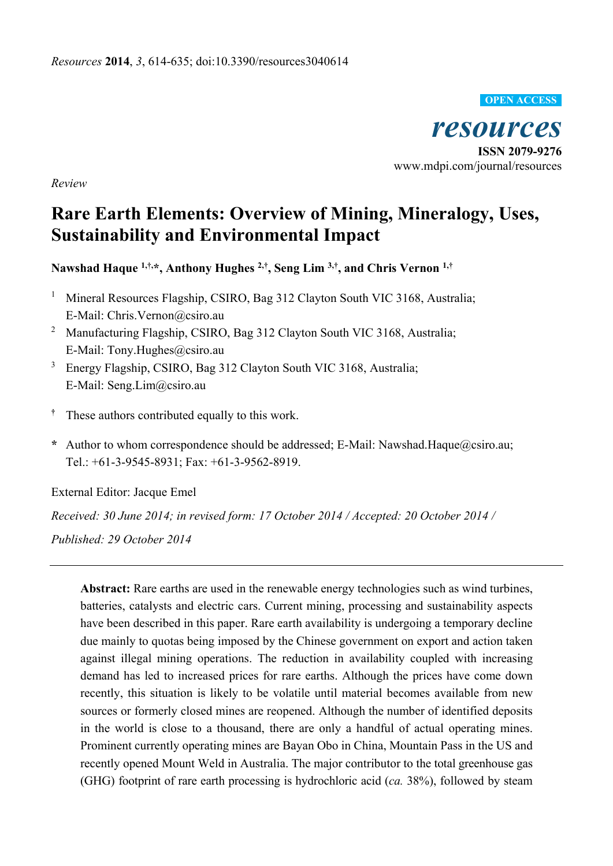

*resources*  **ISSN 2079-9276**  www.mdpi.com/journal/resources

*Review* 

# **Rare Earth Elements: Overview of Mining, Mineralogy, Uses, Sustainability and Environmental Impact**

**Nawshad Haque 1,†,\*, Anthony Hughes 2,†, Seng Lim 3,†, and Chris Vernon 1,†**

- 1 Mineral Resources Flagship, CSIRO, Bag 312 Clayton South VIC 3168, Australia; E-Mail: Chris.Vernon@csiro.au
- <sup>2</sup> Manufacturing Flagship, CSIRO, Bag 312 Clayton South VIC 3168, Australia; E-Mail: Tony.Hughes@csiro.au
- 3 Energy Flagship, CSIRO, Bag 312 Clayton South VIC 3168, Australia; E-Mail: Seng.Lim@csiro.au
- **†** These authors contributed equally to this work.
- **\*** Author to whom correspondence should be addressed; E-Mail: Nawshad.Haque@csiro.au; Tel.: +61-3-9545-8931; Fax: +61-3-9562-8919.

External Editor: Jacque Emel

*Received: 30 June 2014; in revised form: 17 October 2014 / Accepted: 20 October 2014 /* 

*Published: 29 October 2014*

**Abstract:** Rare earths are used in the renewable energy technologies such as wind turbines, batteries, catalysts and electric cars. Current mining, processing and sustainability aspects have been described in this paper. Rare earth availability is undergoing a temporary decline due mainly to quotas being imposed by the Chinese government on export and action taken against illegal mining operations. The reduction in availability coupled with increasing demand has led to increased prices for rare earths. Although the prices have come down recently, this situation is likely to be volatile until material becomes available from new sources or formerly closed mines are reopened. Although the number of identified deposits in the world is close to a thousand, there are only a handful of actual operating mines. Prominent currently operating mines are Bayan Obo in China, Mountain Pass in the US and recently opened Mount Weld in Australia. The major contributor to the total greenhouse gas (GHG) footprint of rare earth processing is hydrochloric acid (*ca.* 38%), followed by steam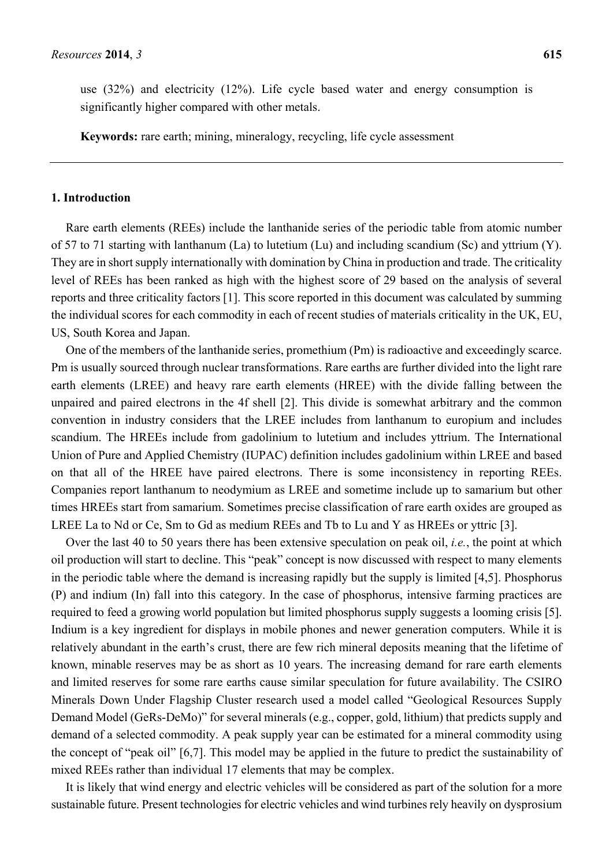use (32%) and electricity (12%). Life cycle based water and energy consumption is significantly higher compared with other metals.

**Keywords:** rare earth; mining, mineralogy, recycling, life cycle assessment

# **1. Introduction**

Rare earth elements (REEs) include the lanthanide series of the periodic table from atomic number of 57 to 71 starting with lanthanum (La) to lutetium (Lu) and including scandium (Sc) and yttrium (Y). They are in short supply internationally with domination by China in production and trade. The criticality level of REEs has been ranked as high with the highest score of 29 based on the analysis of several reports and three criticality factors [1]. This score reported in this document was calculated by summing the individual scores for each commodity in each of recent studies of materials criticality in the UK, EU, US, South Korea and Japan.

One of the members of the lanthanide series, promethium (Pm) is radioactive and exceedingly scarce. Pm is usually sourced through nuclear transformations. Rare earths are further divided into the light rare earth elements (LREE) and heavy rare earth elements (HREE) with the divide falling between the unpaired and paired electrons in the 4f shell [2]. This divide is somewhat arbitrary and the common convention in industry considers that the LREE includes from lanthanum to europium and includes scandium. The HREEs include from gadolinium to lutetium and includes yttrium. The International Union of Pure and Applied Chemistry (IUPAC) definition includes gadolinium within LREE and based on that all of the HREE have paired electrons. There is some inconsistency in reporting REEs. Companies report lanthanum to neodymium as LREE and sometime include up to samarium but other times HREEs start from samarium. Sometimes precise classification of rare earth oxides are grouped as LREE La to Nd or Ce, Sm to Gd as medium REEs and Tb to Lu and Y as HREEs or yttric [3].

Over the last 40 to 50 years there has been extensive speculation on peak oil, *i.e.*, the point at which oil production will start to decline. This "peak" concept is now discussed with respect to many elements in the periodic table where the demand is increasing rapidly but the supply is limited [4,5]. Phosphorus (P) and indium (In) fall into this category. In the case of phosphorus, intensive farming practices are required to feed a growing world population but limited phosphorus supply suggests a looming crisis [5]. Indium is a key ingredient for displays in mobile phones and newer generation computers. While it is relatively abundant in the earth's crust, there are few rich mineral deposits meaning that the lifetime of known, minable reserves may be as short as 10 years. The increasing demand for rare earth elements and limited reserves for some rare earths cause similar speculation for future availability. The CSIRO Minerals Down Under Flagship Cluster research used a model called "Geological Resources Supply Demand Model (GeRs-DeMo)" for several minerals (e.g., copper, gold, lithium) that predicts supply and demand of a selected commodity. A peak supply year can be estimated for a mineral commodity using the concept of "peak oil" [6,7]. This model may be applied in the future to predict the sustainability of mixed REEs rather than individual 17 elements that may be complex.

It is likely that wind energy and electric vehicles will be considered as part of the solution for a more sustainable future. Present technologies for electric vehicles and wind turbines rely heavily on dysprosium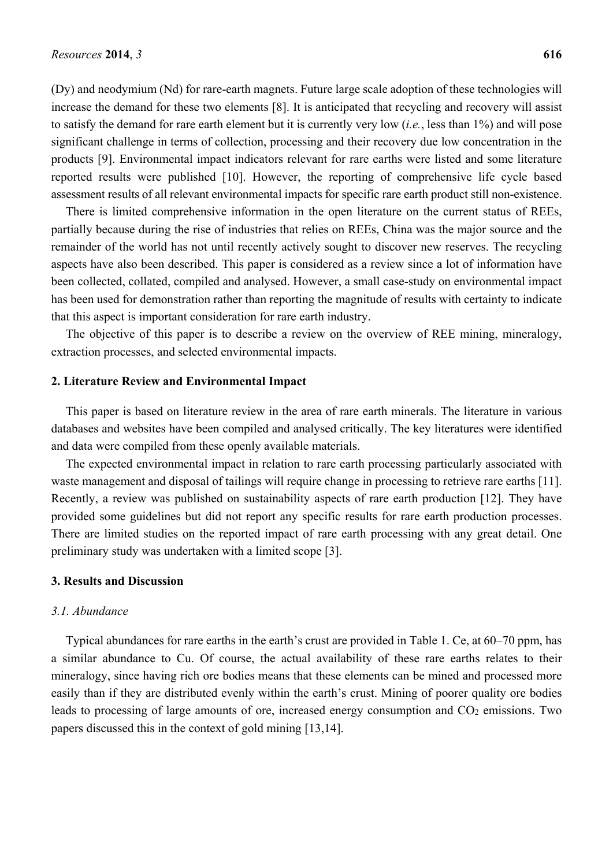(Dy) and neodymium (Nd) for rare-earth magnets. Future large scale adoption of these technologies will increase the demand for these two elements [8]. It is anticipated that recycling and recovery will assist to satisfy the demand for rare earth element but it is currently very low (*i.e.*, less than 1%) and will pose significant challenge in terms of collection, processing and their recovery due low concentration in the products [9]. Environmental impact indicators relevant for rare earths were listed and some literature reported results were published [10]. However, the reporting of comprehensive life cycle based assessment results of all relevant environmental impacts for specific rare earth product still non-existence.

There is limited comprehensive information in the open literature on the current status of REEs, partially because during the rise of industries that relies on REEs, China was the major source and the remainder of the world has not until recently actively sought to discover new reserves. The recycling aspects have also been described. This paper is considered as a review since a lot of information have been collected, collated, compiled and analysed. However, a small case-study on environmental impact has been used for demonstration rather than reporting the magnitude of results with certainty to indicate that this aspect is important consideration for rare earth industry.

The objective of this paper is to describe a review on the overview of REE mining, mineralogy, extraction processes, and selected environmental impacts.

#### **2. Literature Review and Environmental Impact**

This paper is based on literature review in the area of rare earth minerals. The literature in various databases and websites have been compiled and analysed critically. The key literatures were identified and data were compiled from these openly available materials.

The expected environmental impact in relation to rare earth processing particularly associated with waste management and disposal of tailings will require change in processing to retrieve rare earths [11]. Recently, a review was published on sustainability aspects of rare earth production [12]. They have provided some guidelines but did not report any specific results for rare earth production processes. There are limited studies on the reported impact of rare earth processing with any great detail. One preliminary study was undertaken with a limited scope [3].

# **3. Results and Discussion**

#### *3.1. Abundance*

Typical abundances for rare earths in the earth's crust are provided in Table 1. Ce, at 60–70 ppm, has a similar abundance to Cu. Of course, the actual availability of these rare earths relates to their mineralogy, since having rich ore bodies means that these elements can be mined and processed more easily than if they are distributed evenly within the earth's crust. Mining of poorer quality ore bodies leads to processing of large amounts of ore, increased energy consumption and CO<sub>2</sub> emissions. Two papers discussed this in the context of gold mining [13,14].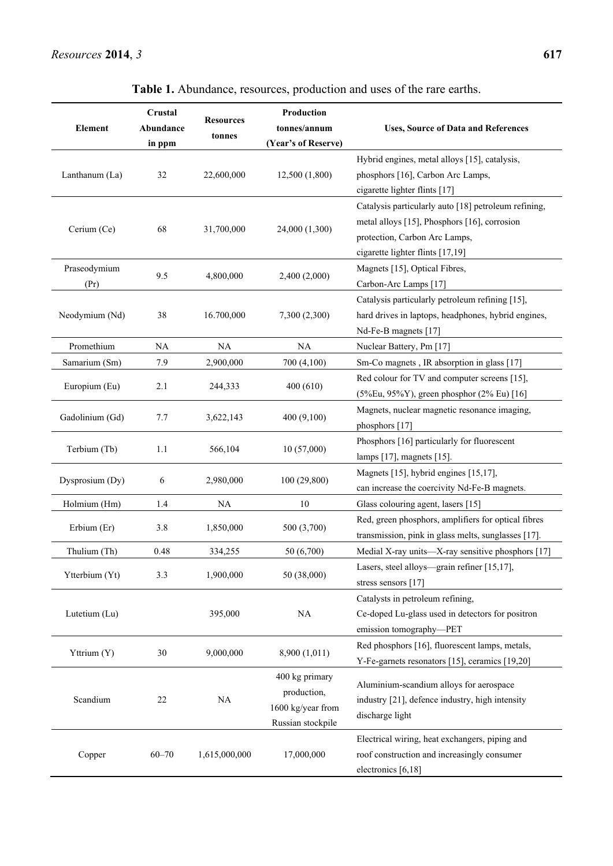| <b>Element</b>       | Crustal<br>Abundance<br>in ppm | <b>Resources</b><br>tonnes | Production<br>tonnes/annum<br>(Year's of Reserve)                       | <b>Uses, Source of Data and References</b>                                                                                                                                |  |
|----------------------|--------------------------------|----------------------------|-------------------------------------------------------------------------|---------------------------------------------------------------------------------------------------------------------------------------------------------------------------|--|
| Lanthanum (La)       | 32                             | 22,600,000                 | 12,500 (1,800)                                                          | Hybrid engines, metal alloys [15], catalysis,<br>phosphors [16], Carbon Arc Lamps,<br>cigarette lighter flints [17]                                                       |  |
| Cerium (Ce)          | 68                             | 31,700,000                 | 24,000 (1,300)                                                          | Catalysis particularly auto [18] petroleum refining,<br>metal alloys [15], Phosphors [16], corrosion<br>protection, Carbon Arc Lamps,<br>cigarette lighter flints [17,19] |  |
| Praseodymium<br>(Pr) | 9.5                            | 4,800,000                  | 2,400 (2,000)                                                           | Magnets [15], Optical Fibres,<br>Carbon-Arc Lamps [17]                                                                                                                    |  |
| Neodymium (Nd)       | 38                             | 16.700,000                 | 7,300 (2,300)                                                           | Catalysis particularly petroleum refining [15],<br>hard drives in laptops, headphones, hybrid engines,<br>Nd-Fe-B magnets [17]                                            |  |
| Promethium           | <b>NA</b>                      | NA                         | NA                                                                      | Nuclear Battery, Pm [17]                                                                                                                                                  |  |
| Samarium (Sm)        | 7.9                            | 2,900,000                  | 700 (4,100)                                                             | Sm-Co magnets, IR absorption in glass [17]                                                                                                                                |  |
| Europium (Eu)        | 2.1                            | 244,333                    | 400(610)                                                                | Red colour for TV and computer screens [15],<br>$(5\%Eu, 95\%Y)$ , green phosphor $(2\% Eu)$ [16]                                                                         |  |
| Gadolinium (Gd)      | 7.7                            | 3,622,143                  | 400(9,100)                                                              | Magnets, nuclear magnetic resonance imaging,<br>phosphors $[17]$                                                                                                          |  |
| Terbium (Tb)         | 1.1                            | 566,104                    | 10(57,000)                                                              | Phosphors [16] particularly for fluorescent<br>lamps [17], magnets [15].                                                                                                  |  |
| Dysprosium (Dy)      | 6                              | 2,980,000                  | 100 (29,800)                                                            | Magnets [15], hybrid engines [15,17],<br>can increase the coercivity Nd-Fe-B magnets.                                                                                     |  |
| Holmium (Hm)         | 1.4                            | <b>NA</b>                  | 10                                                                      | Glass colouring agent, lasers [15]                                                                                                                                        |  |
| Erbium (Er)          | 3.8                            | 1,850,000                  | 500 (3,700)                                                             | Red, green phosphors, amplifiers for optical fibres<br>transmission, pink in glass melts, sunglasses [17].                                                                |  |
| Thulium (Th)         | 0.48                           | 334,255                    | 50 (6,700)                                                              | Medial X-ray units—X-ray sensitive phosphors [17]                                                                                                                         |  |
| Ytterbium (Yt)       | 3.3                            | 1,900,000                  | 50 (38,000)                                                             | Lasers, steel alloys—grain refiner [15,17],<br>stress sensors [17]                                                                                                        |  |
| Lutetium (Lu)        |                                | 395,000                    | <b>NA</b>                                                               | Catalysts in petroleum refining,<br>Ce-doped Lu-glass used in detectors for positron<br>emission tomography-PET                                                           |  |
| Yttrium (Y)          | 30                             | 9,000,000                  | 8,900 (1,011)                                                           | Red phosphors [16], fluorescent lamps, metals,<br>Y-Fe-garnets resonators [15], ceramics [19,20]                                                                          |  |
| Scandium             | 22                             | NA                         | 400 kg primary<br>production,<br>1600 kg/year from<br>Russian stockpile | Aluminium-scandium alloys for aerospace<br>industry [21], defence industry, high intensity<br>discharge light                                                             |  |
| Copper               | $60 - 70$                      | 1,615,000,000              | 17,000,000                                                              | Electrical wiring, heat exchangers, piping and<br>roof construction and increasingly consumer<br>electronics [6,18]                                                       |  |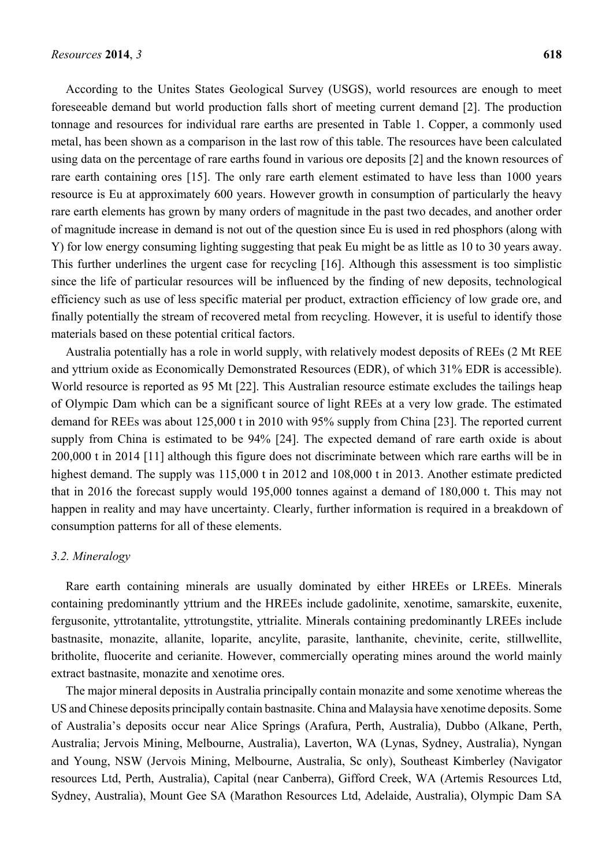According to the Unites States Geological Survey (USGS), world resources are enough to meet foreseeable demand but world production falls short of meeting current demand [2]. The production tonnage and resources for individual rare earths are presented in Table 1. Copper, a commonly used metal, has been shown as a comparison in the last row of this table. The resources have been calculated using data on the percentage of rare earths found in various ore deposits [2] and the known resources of rare earth containing ores [15]. The only rare earth element estimated to have less than 1000 years resource is Eu at approximately 600 years. However growth in consumption of particularly the heavy rare earth elements has grown by many orders of magnitude in the past two decades, and another order of magnitude increase in demand is not out of the question since Eu is used in red phosphors (along with Y) for low energy consuming lighting suggesting that peak Eu might be as little as 10 to 30 years away. This further underlines the urgent case for recycling [16]. Although this assessment is too simplistic since the life of particular resources will be influenced by the finding of new deposits, technological efficiency such as use of less specific material per product, extraction efficiency of low grade ore, and finally potentially the stream of recovered metal from recycling. However, it is useful to identify those materials based on these potential critical factors.

Australia potentially has a role in world supply, with relatively modest deposits of REEs (2 Mt REE and yttrium oxide as Economically Demonstrated Resources (EDR), of which 31% EDR is accessible). World resource is reported as 95 Mt [22]. This Australian resource estimate excludes the tailings heap of Olympic Dam which can be a significant source of light REEs at a very low grade. The estimated demand for REEs was about 125,000 t in 2010 with 95% supply from China [23]. The reported current supply from China is estimated to be 94% [24]. The expected demand of rare earth oxide is about 200,000 t in 2014 [11] although this figure does not discriminate between which rare earths will be in highest demand. The supply was 115,000 t in 2012 and 108,000 t in 2013. Another estimate predicted that in 2016 the forecast supply would 195,000 tonnes against a demand of 180,000 t. This may not happen in reality and may have uncertainty. Clearly, further information is required in a breakdown of consumption patterns for all of these elements.

## *3.2. Mineralogy*

Rare earth containing minerals are usually dominated by either HREEs or LREEs. Minerals containing predominantly yttrium and the HREEs include gadolinite, xenotime, samarskite, euxenite, fergusonite, yttrotantalite, yttrotungstite, yttrialite. Minerals containing predominantly LREEs include bastnasite, monazite, allanite, loparite, ancylite, parasite, lanthanite, chevinite, cerite, stillwellite, britholite, fluocerite and cerianite. However, commercially operating mines around the world mainly extract bastnasite, monazite and xenotime ores.

The major mineral deposits in Australia principally contain monazite and some xenotime whereas the US and Chinese deposits principally contain bastnasite. China and Malaysia have xenotime deposits. Some of Australia's deposits occur near Alice Springs (Arafura, Perth, Australia), Dubbo (Alkane, Perth, Australia; Jervois Mining, Melbourne, Australia), Laverton, WA (Lynas, Sydney, Australia), Nyngan and Young, NSW (Jervois Mining, Melbourne, Australia, Sc only), Southeast Kimberley (Navigator resources Ltd, Perth, Australia), Capital (near Canberra), Gifford Creek, WA (Artemis Resources Ltd, Sydney, Australia), Mount Gee SA (Marathon Resources Ltd, Adelaide, Australia), Olympic Dam SA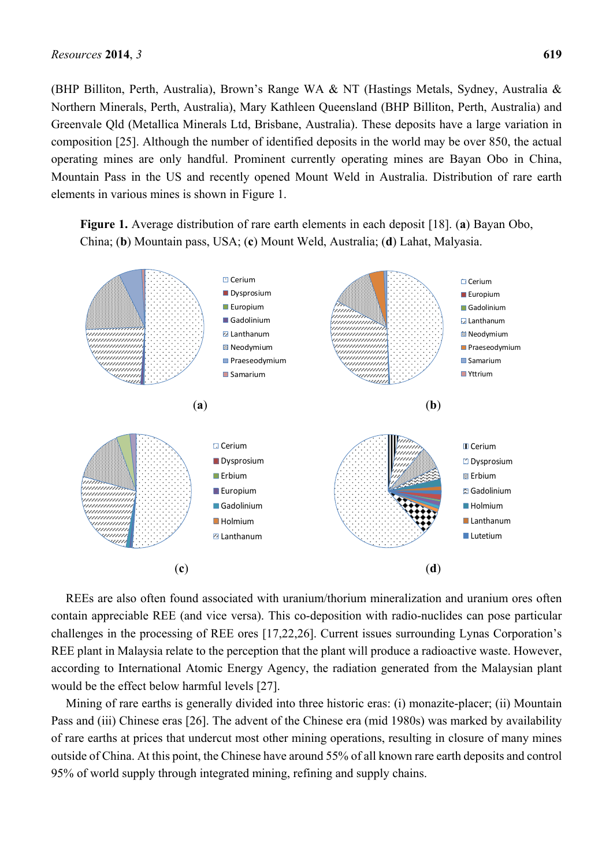(BHP Billiton, Perth, Australia), Brown's Range WA & NT (Hastings Metals, Sydney, Australia & Northern Minerals, Perth, Australia), Mary Kathleen Queensland (BHP Billiton, Perth, Australia) and Greenvale Qld (Metallica Minerals Ltd, Brisbane, Australia). These deposits have a large variation in composition [25]. Although the number of identified deposits in the world may be over 850, the actual operating mines are only handful. Prominent currently operating mines are Bayan Obo in China, Mountain Pass in the US and recently opened Mount Weld in Australia. Distribution of rare earth elements in various mines is shown in Figure 1.

**Figure 1.** Average distribution of rare earth elements in each deposit [18]. (**a**) Bayan Obo, China; (**b**) Mountain pass, USA; (**c**) Mount Weld, Australia; (**d**) Lahat, Malyasia.



REEs are also often found associated with uranium/thorium mineralization and uranium ores often contain appreciable REE (and vice versa). This co-deposition with radio-nuclides can pose particular challenges in the processing of REE ores [17,22,26]. Current issues surrounding Lynas Corporation's REE plant in Malaysia relate to the perception that the plant will produce a radioactive waste. However, according to International Atomic Energy Agency, the radiation generated from the Malaysian plant would be the effect below harmful levels [27].

Mining of rare earths is generally divided into three historic eras: (i) monazite-placer; (ii) Mountain Pass and (iii) Chinese eras [26]. The advent of the Chinese era (mid 1980s) was marked by availability of rare earths at prices that undercut most other mining operations, resulting in closure of many mines outside of China. At this point, the Chinese have around 55% of all known rare earth deposits and control 95% of world supply through integrated mining, refining and supply chains.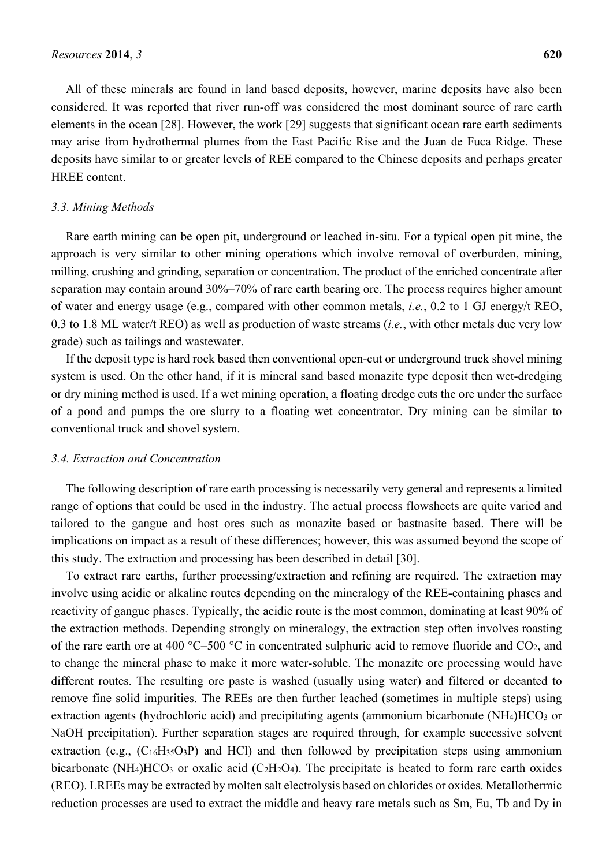All of these minerals are found in land based deposits, however, marine deposits have also been considered. It was reported that river run-off was considered the most dominant source of rare earth elements in the ocean [28]. However, the work [29] suggests that significant ocean rare earth sediments may arise from hydrothermal plumes from the East Pacific Rise and the Juan de Fuca Ridge. These deposits have similar to or greater levels of REE compared to the Chinese deposits and perhaps greater HREE content.

#### *3.3. Mining Methods*

Rare earth mining can be open pit, underground or leached in-situ. For a typical open pit mine, the approach is very similar to other mining operations which involve removal of overburden, mining, milling, crushing and grinding, separation or concentration. The product of the enriched concentrate after separation may contain around 30%–70% of rare earth bearing ore. The process requires higher amount of water and energy usage (e.g., compared with other common metals, *i.e.*, 0.2 to 1 GJ energy/t REO, 0.3 to 1.8 ML water/t REO) as well as production of waste streams (*i.e.*, with other metals due very low grade) such as tailings and wastewater.

If the deposit type is hard rock based then conventional open-cut or underground truck shovel mining system is used. On the other hand, if it is mineral sand based monazite type deposit then wet-dredging or dry mining method is used. If a wet mining operation, a floating dredge cuts the ore under the surface of a pond and pumps the ore slurry to a floating wet concentrator. Dry mining can be similar to conventional truck and shovel system.

#### *3.4. Extraction and Concentration*

The following description of rare earth processing is necessarily very general and represents a limited range of options that could be used in the industry. The actual process flowsheets are quite varied and tailored to the gangue and host ores such as monazite based or bastnasite based. There will be implications on impact as a result of these differences; however, this was assumed beyond the scope of this study. The extraction and processing has been described in detail [30].

To extract rare earths, further processing/extraction and refining are required. The extraction may involve using acidic or alkaline routes depending on the mineralogy of the REE-containing phases and reactivity of gangue phases. Typically, the acidic route is the most common, dominating at least 90% of the extraction methods. Depending strongly on mineralogy, the extraction step often involves roasting of the rare earth ore at 400 °C–500 °C in concentrated sulphuric acid to remove fluoride and  $CO<sub>2</sub>$ , and to change the mineral phase to make it more water-soluble. The monazite ore processing would have different routes. The resulting ore paste is washed (usually using water) and filtered or decanted to remove fine solid impurities. The REEs are then further leached (sometimes in multiple steps) using extraction agents (hydrochloric acid) and precipitating agents (ammonium bicarbonate  $(NH<sub>4</sub>)HCO<sub>3</sub>$  or NaOH precipitation). Further separation stages are required through, for example successive solvent extraction (e.g.,  $(C_{16}H_{35}O_3P)$ ) and HCl) and then followed by precipitation steps using ammonium bicarbonate (NH<sub>4</sub>)HCO<sub>3</sub> or oxalic acid (C<sub>2</sub>H<sub>2</sub>O<sub>4</sub>). The precipitate is heated to form rare earth oxides (REO). LREEs may be extracted by molten salt electrolysis based on chlorides or oxides. Metallothermic reduction processes are used to extract the middle and heavy rare metals such as Sm, Eu, Tb and Dy in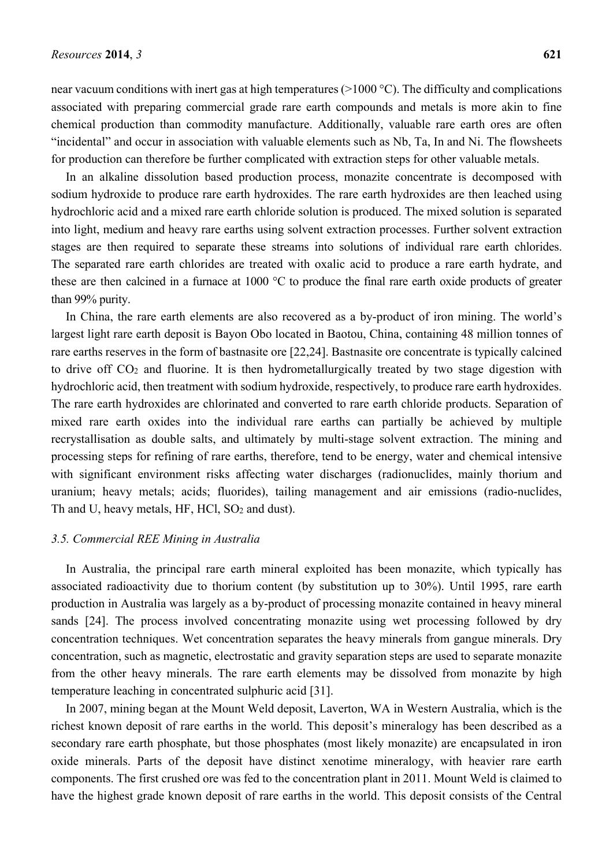near vacuum conditions with inert gas at high temperatures (>1000 °C). The difficulty and complications associated with preparing commercial grade rare earth compounds and metals is more akin to fine chemical production than commodity manufacture. Additionally, valuable rare earth ores are often "incidental" and occur in association with valuable elements such as Nb, Ta, In and Ni. The flowsheets for production can therefore be further complicated with extraction steps for other valuable metals.

In an alkaline dissolution based production process, monazite concentrate is decomposed with sodium hydroxide to produce rare earth hydroxides. The rare earth hydroxides are then leached using hydrochloric acid and a mixed rare earth chloride solution is produced. The mixed solution is separated into light, medium and heavy rare earths using solvent extraction processes. Further solvent extraction stages are then required to separate these streams into solutions of individual rare earth chlorides. The separated rare earth chlorides are treated with oxalic acid to produce a rare earth hydrate, and these are then calcined in a furnace at 1000 °C to produce the final rare earth oxide products of greater than 99% purity.

In China, the rare earth elements are also recovered as a by-product of iron mining. The world's largest light rare earth deposit is Bayon Obo located in Baotou, China, containing 48 million tonnes of rare earths reserves in the form of bastnasite ore [22,24]. Bastnasite ore concentrate is typically calcined to drive off CO2 and fluorine. It is then hydrometallurgically treated by two stage digestion with hydrochloric acid, then treatment with sodium hydroxide, respectively, to produce rare earth hydroxides. The rare earth hydroxides are chlorinated and converted to rare earth chloride products. Separation of mixed rare earth oxides into the individual rare earths can partially be achieved by multiple recrystallisation as double salts, and ultimately by multi-stage solvent extraction. The mining and processing steps for refining of rare earths, therefore, tend to be energy, water and chemical intensive with significant environment risks affecting water discharges (radionuclides, mainly thorium and uranium; heavy metals; acids; fluorides), tailing management and air emissions (radio-nuclides, Th and U, heavy metals, HF, HCl, SO<sub>2</sub> and dust).

## *3.5. Commercial REE Mining in Australia*

In Australia, the principal rare earth mineral exploited has been monazite, which typically has associated radioactivity due to thorium content (by substitution up to 30%). Until 1995, rare earth production in Australia was largely as a by-product of processing monazite contained in heavy mineral sands [24]. The process involved concentrating monazite using wet processing followed by dry concentration techniques. Wet concentration separates the heavy minerals from gangue minerals. Dry concentration, such as magnetic, electrostatic and gravity separation steps are used to separate monazite from the other heavy minerals. The rare earth elements may be dissolved from monazite by high temperature leaching in concentrated sulphuric acid [31].

In 2007, mining began at the Mount Weld deposit, Laverton, WA in Western Australia, which is the richest known deposit of rare earths in the world. This deposit's mineralogy has been described as a secondary rare earth phosphate, but those phosphates (most likely monazite) are encapsulated in iron oxide minerals. Parts of the deposit have distinct xenotime mineralogy, with heavier rare earth components. The first crushed ore was fed to the concentration plant in 2011. Mount Weld is claimed to have the highest grade known deposit of rare earths in the world. This deposit consists of the Central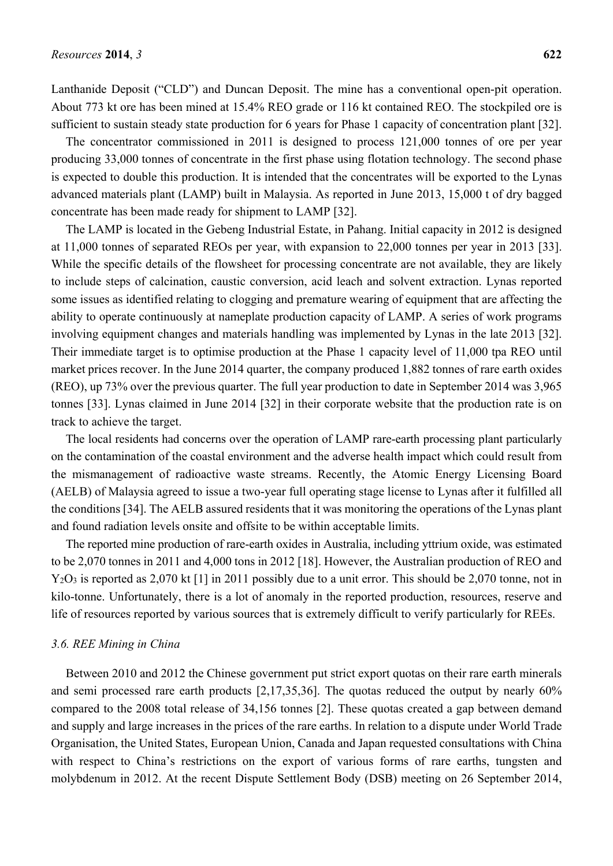Lanthanide Deposit ("CLD") and Duncan Deposit. The mine has a conventional open-pit operation. About 773 kt ore has been mined at 15.4% REO grade or 116 kt contained REO. The stockpiled ore is sufficient to sustain steady state production for 6 years for Phase 1 capacity of concentration plant [32].

The concentrator commissioned in 2011 is designed to process 121,000 tonnes of ore per year producing 33,000 tonnes of concentrate in the first phase using flotation technology. The second phase is expected to double this production. It is intended that the concentrates will be exported to the Lynas advanced materials plant (LAMP) built in Malaysia. As reported in June 2013, 15,000 t of dry bagged concentrate has been made ready for shipment to LAMP [32].

The LAMP is located in the Gebeng Industrial Estate, in Pahang. Initial capacity in 2012 is designed at 11,000 tonnes of separated REOs per year, with expansion to 22,000 tonnes per year in 2013 [33]. While the specific details of the flowsheet for processing concentrate are not available, they are likely to include steps of calcination, caustic conversion, acid leach and solvent extraction. Lynas reported some issues as identified relating to clogging and premature wearing of equipment that are affecting the ability to operate continuously at nameplate production capacity of LAMP. A series of work programs involving equipment changes and materials handling was implemented by Lynas in the late 2013 [32]. Their immediate target is to optimise production at the Phase 1 capacity level of 11,000 tpa REO until market prices recover. In the June 2014 quarter, the company produced 1,882 tonnes of rare earth oxides (REO), up 73% over the previous quarter. The full year production to date in September 2014 was 3,965 tonnes [33]. Lynas claimed in June 2014 [32] in their corporate website that the production rate is on track to achieve the target.

The local residents had concerns over the operation of LAMP rare-earth processing plant particularly on the contamination of the coastal environment and the adverse health impact which could result from the mismanagement of radioactive waste streams. Recently, the Atomic Energy Licensing Board (AELB) of Malaysia agreed to issue a two-year full operating stage license to Lynas after it fulfilled all the conditions [34]. The AELB assured residents that it was monitoring the operations of the Lynas plant and found radiation levels onsite and offsite to be within acceptable limits.

The reported mine production of rare-earth oxides in Australia, including yttrium oxide, was estimated to be 2,070 tonnes in 2011 and 4,000 tons in 2012 [18]. However, the Australian production of REO and Y<sub>2</sub>O<sub>3</sub> is reported as 2,070 kt [1] in 2011 possibly due to a unit error. This should be 2,070 tonne, not in kilo-tonne. Unfortunately, there is a lot of anomaly in the reported production, resources, reserve and life of resources reported by various sources that is extremely difficult to verify particularly for REEs.

#### *3.6. REE Mining in China*

Between 2010 and 2012 the Chinese government put strict export quotas on their rare earth minerals and semi processed rare earth products [2,17,35,36]. The quotas reduced the output by nearly 60% compared to the 2008 total release of 34,156 tonnes [2]. These quotas created a gap between demand and supply and large increases in the prices of the rare earths. In relation to a dispute under World Trade Organisation, the United States, European Union, Canada and Japan requested consultations with China with respect to China's restrictions on the export of various forms of rare earths, tungsten and molybdenum in 2012. At the recent Dispute Settlement Body (DSB) meeting on 26 September 2014,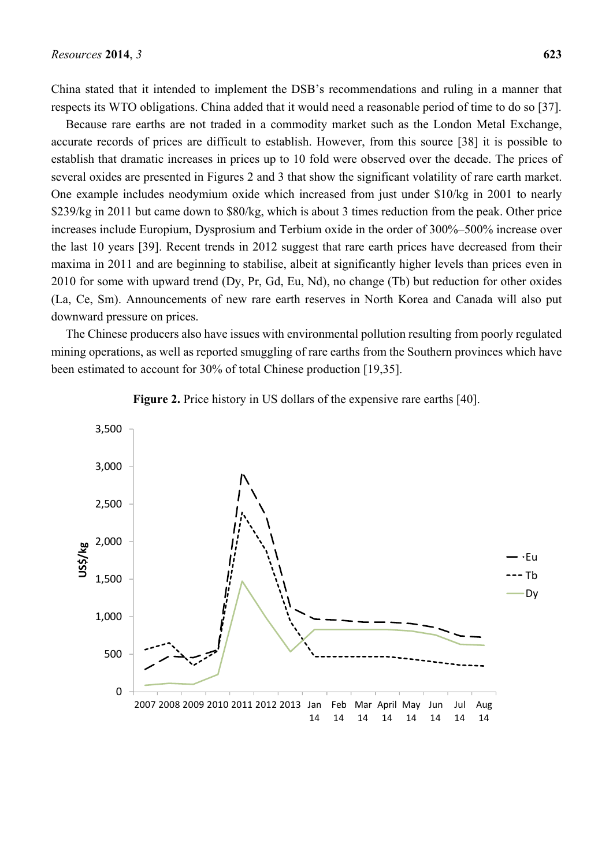China stated that it intended to implement the DSB's recommendations and ruling in a manner that respects its WTO obligations. China added that it would need a reasonable period of time to do so [37].

Because rare earths are not traded in a commodity market such as the London Metal Exchange, accurate records of prices are difficult to establish. However, from this source [38] it is possible to establish that dramatic increases in prices up to 10 fold were observed over the decade. The prices of several oxides are presented in Figures 2 and 3 that show the significant volatility of rare earth market. One example includes neodymium oxide which increased from just under \$10/kg in 2001 to nearly \$239/kg in 2011 but came down to \$80/kg, which is about 3 times reduction from the peak. Other price increases include Europium, Dysprosium and Terbium oxide in the order of 300%–500% increase over the last 10 years [39]. Recent trends in 2012 suggest that rare earth prices have decreased from their maxima in 2011 and are beginning to stabilise, albeit at significantly higher levels than prices even in 2010 for some with upward trend (Dy, Pr, Gd, Eu, Nd), no change (Tb) but reduction for other oxides (La, Ce, Sm). Announcements of new rare earth reserves in North Korea and Canada will also put downward pressure on prices.

The Chinese producers also have issues with environmental pollution resulting from poorly regulated mining operations, as well as reported smuggling of rare earths from the Southern provinces which have been estimated to account for 30% of total Chinese production [19,35].



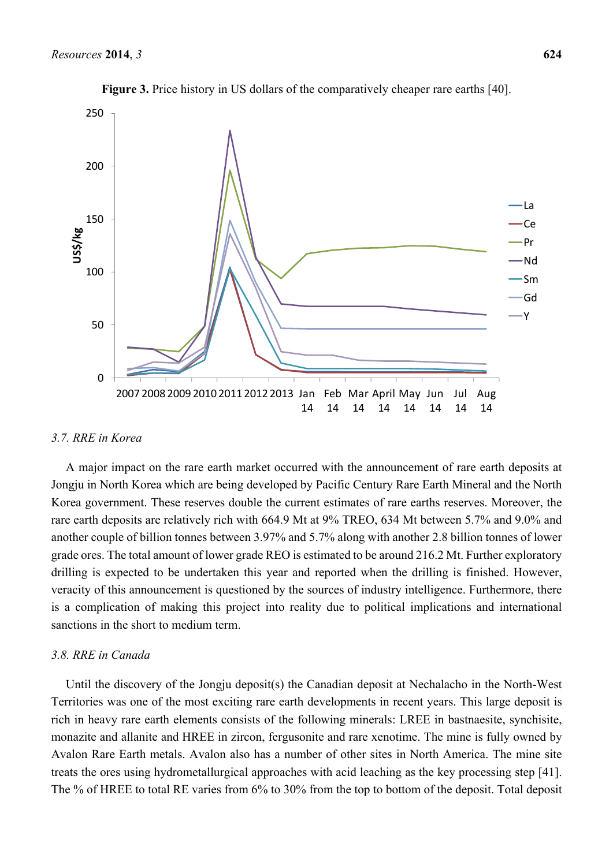

**Figure 3.** Price history in US dollars of the comparatively cheaper rare earths [40].

# *3.7. RRE in Korea*

A major impact on the rare earth market occurred with the announcement of rare earth deposits at Jongju in North Korea which are being developed by Pacific Century Rare Earth Mineral and the North Korea government. These reserves double the current estimates of rare earths reserves. Moreover, the rare earth deposits are relatively rich with 664.9 Mt at 9% TREO, 634 Mt between 5.7% and 9.0% and another couple of billion tonnes between 3.97% and 5.7% along with another 2.8 billion tonnes of lower grade ores. The total amount of lower grade REO is estimated to be around 216.2 Mt. Further exploratory drilling is expected to be undertaken this year and reported when the drilling is finished. However, veracity of this announcement is questioned by the sources of industry intelligence. Furthermore, there is a complication of making this project into reality due to political implications and international sanctions in the short to medium term.

#### *3.8. RRE in Canada*

Until the discovery of the Jongju deposit(s) the Canadian deposit at Nechalacho in the North-West Territories was one of the most exciting rare earth developments in recent years. This large deposit is rich in heavy rare earth elements consists of the following minerals: LREE in bastnaesite, synchisite, monazite and allanite and HREE in zircon, fergusonite and rare xenotime. The mine is fully owned by Avalon Rare Earth metals. Avalon also has a number of other sites in North America. The mine site treats the ores using hydrometallurgical approaches with acid leaching as the key processing step [41]. The % of HREE to total RE varies from 6% to 30% from the top to bottom of the deposit. Total deposit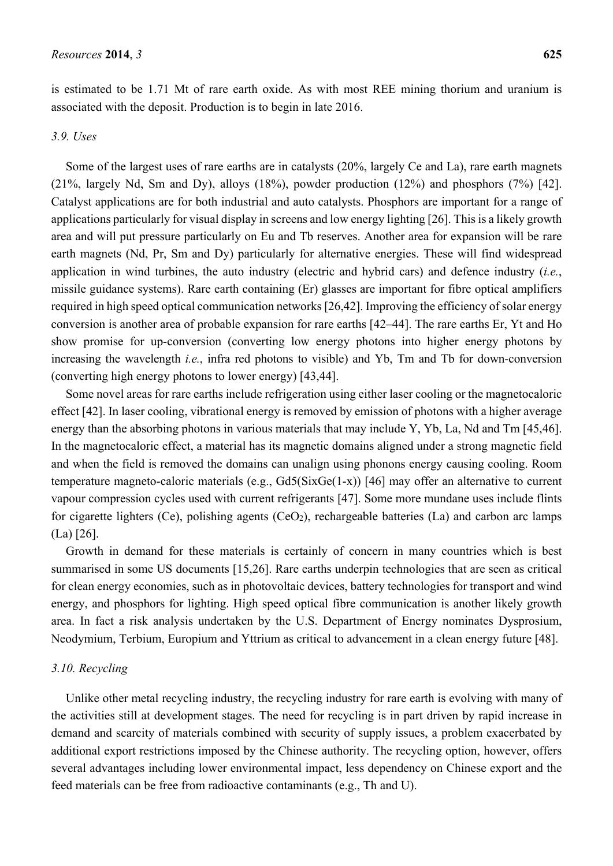is estimated to be 1.71 Mt of rare earth oxide. As with most REE mining thorium and uranium is associated with the deposit. Production is to begin in late 2016.

#### *3.9. Uses*

Some of the largest uses of rare earths are in catalysts (20%, largely Ce and La), rare earth magnets (21%, largely Nd, Sm and Dy), alloys (18%), powder production (12%) and phosphors (7%) [42]. Catalyst applications are for both industrial and auto catalysts. Phosphors are important for a range of applications particularly for visual display in screens and low energy lighting [26]. This is a likely growth area and will put pressure particularly on Eu and Tb reserves. Another area for expansion will be rare earth magnets (Nd, Pr, Sm and Dy) particularly for alternative energies. These will find widespread application in wind turbines, the auto industry (electric and hybrid cars) and defence industry (*i.e.*, missile guidance systems). Rare earth containing (Er) glasses are important for fibre optical amplifiers required in high speed optical communication networks [26,42]. Improving the efficiency of solar energy conversion is another area of probable expansion for rare earths [42–44]. The rare earths Er, Yt and Ho show promise for up-conversion (converting low energy photons into higher energy photons by increasing the wavelength *i.e.*, infra red photons to visible) and Yb, Tm and Tb for down-conversion (converting high energy photons to lower energy) [43,44].

Some novel areas for rare earths include refrigeration using either laser cooling or the magnetocaloric effect [42]. In laser cooling, vibrational energy is removed by emission of photons with a higher average energy than the absorbing photons in various materials that may include Y, Yb, La, Nd and Tm [45,46]. In the magnetocaloric effect, a material has its magnetic domains aligned under a strong magnetic field and when the field is removed the domains can unalign using phonons energy causing cooling. Room temperature magneto-caloric materials (e.g., Gd5(SixGe(1-x)) [46] may offer an alternative to current vapour compression cycles used with current refrigerants [47]. Some more mundane uses include flints for cigarette lighters (Ce), polishing agents (CeO<sub>2</sub>), rechargeable batteries (La) and carbon arc lamps (La) [26].

Growth in demand for these materials is certainly of concern in many countries which is best summarised in some US documents [15,26]. Rare earths underpin technologies that are seen as critical for clean energy economies, such as in photovoltaic devices, battery technologies for transport and wind energy, and phosphors for lighting. High speed optical fibre communication is another likely growth area. In fact a risk analysis undertaken by the U.S. Department of Energy nominates Dysprosium, Neodymium, Terbium, Europium and Yttrium as critical to advancement in a clean energy future [48].

# *3.10. Recycling*

Unlike other metal recycling industry, the recycling industry for rare earth is evolving with many of the activities still at development stages. The need for recycling is in part driven by rapid increase in demand and scarcity of materials combined with security of supply issues, a problem exacerbated by additional export restrictions imposed by the Chinese authority. The recycling option, however, offers several advantages including lower environmental impact, less dependency on Chinese export and the feed materials can be free from radioactive contaminants (e.g., Th and U).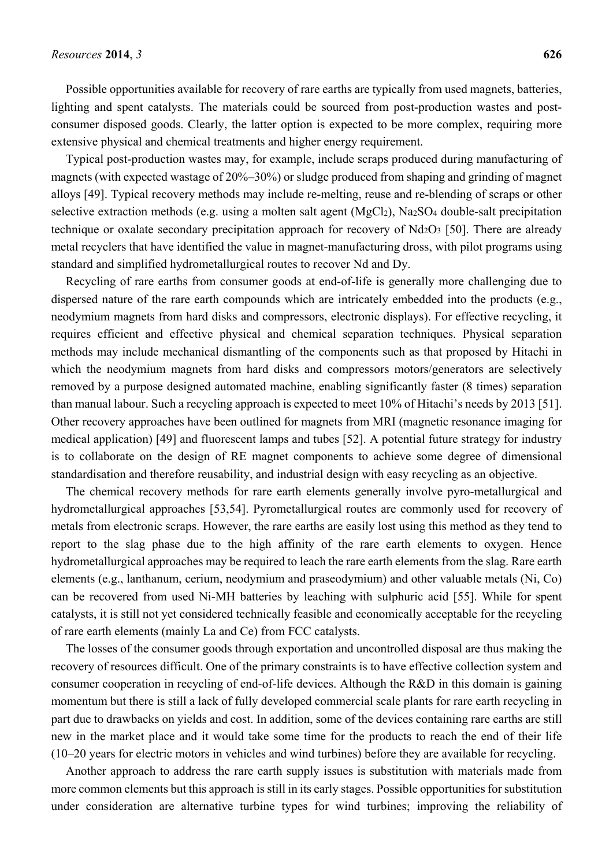Possible opportunities available for recovery of rare earths are typically from used magnets, batteries, lighting and spent catalysts. The materials could be sourced from post-production wastes and postconsumer disposed goods. Clearly, the latter option is expected to be more complex, requiring more extensive physical and chemical treatments and higher energy requirement.

Typical post-production wastes may, for example, include scraps produced during manufacturing of magnets (with expected wastage of 20%–30%) or sludge produced from shaping and grinding of magnet alloys [49]. Typical recovery methods may include re-melting, reuse and re-blending of scraps or other selective extraction methods (e.g. using a molten salt agent (MgCl<sub>2</sub>), Na<sub>2</sub>SO<sub>4</sub> double-salt precipitation technique or oxalate secondary precipitation approach for recovery of  $Nd_2O_3$  [50]. There are already metal recyclers that have identified the value in magnet-manufacturing dross, with pilot programs using standard and simplified hydrometallurgical routes to recover Nd and Dy.

Recycling of rare earths from consumer goods at end-of-life is generally more challenging due to dispersed nature of the rare earth compounds which are intricately embedded into the products (e.g., neodymium magnets from hard disks and compressors, electronic displays). For effective recycling, it requires efficient and effective physical and chemical separation techniques. Physical separation methods may include mechanical dismantling of the components such as that proposed by Hitachi in which the neodymium magnets from hard disks and compressors motors/generators are selectively removed by a purpose designed automated machine, enabling significantly faster (8 times) separation than manual labour. Such a recycling approach is expected to meet 10% of Hitachi's needs by 2013 [51]. Other recovery approaches have been outlined for magnets from MRI (magnetic resonance imaging for medical application) [49] and fluorescent lamps and tubes [52]. A potential future strategy for industry is to collaborate on the design of RE magnet components to achieve some degree of dimensional standardisation and therefore reusability, and industrial design with easy recycling as an objective.

The chemical recovery methods for rare earth elements generally involve pyro-metallurgical and hydrometallurgical approaches [53,54]. Pyrometallurgical routes are commonly used for recovery of metals from electronic scraps. However, the rare earths are easily lost using this method as they tend to report to the slag phase due to the high affinity of the rare earth elements to oxygen. Hence hydrometallurgical approaches may be required to leach the rare earth elements from the slag. Rare earth elements (e.g., lanthanum, cerium, neodymium and praseodymium) and other valuable metals (Ni, Co) can be recovered from used Ni-MH batteries by leaching with sulphuric acid [55]. While for spent catalysts, it is still not yet considered technically feasible and economically acceptable for the recycling of rare earth elements (mainly La and Ce) from FCC catalysts.

The losses of the consumer goods through exportation and uncontrolled disposal are thus making the recovery of resources difficult. One of the primary constraints is to have effective collection system and consumer cooperation in recycling of end-of-life devices. Although the R&D in this domain is gaining momentum but there is still a lack of fully developed commercial scale plants for rare earth recycling in part due to drawbacks on yields and cost. In addition, some of the devices containing rare earths are still new in the market place and it would take some time for the products to reach the end of their life (10–20 years for electric motors in vehicles and wind turbines) before they are available for recycling.

Another approach to address the rare earth supply issues is substitution with materials made from more common elements but this approach is still in its early stages. Possible opportunities for substitution under consideration are alternative turbine types for wind turbines; improving the reliability of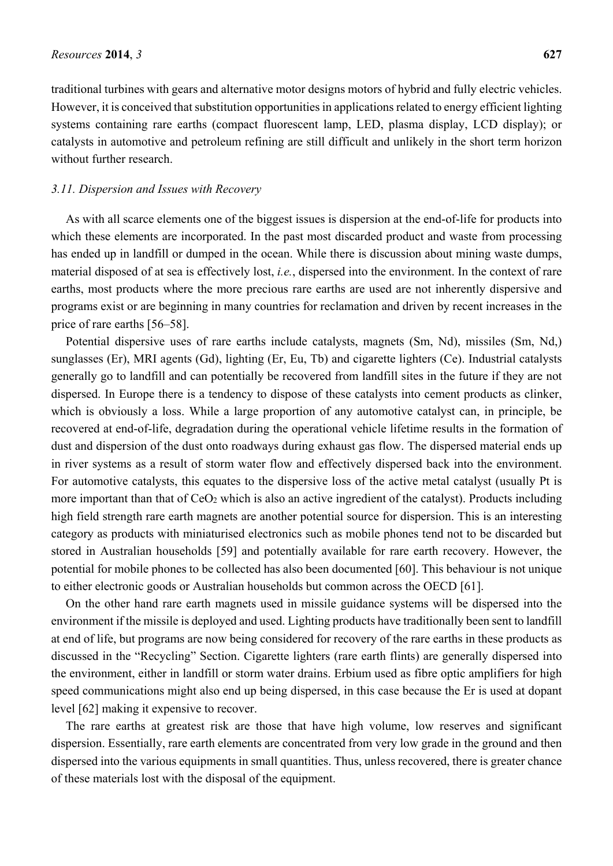traditional turbines with gears and alternative motor designs motors of hybrid and fully electric vehicles. However, it is conceived that substitution opportunities in applications related to energy efficient lighting systems containing rare earths (compact fluorescent lamp, LED, plasma display, LCD display); or catalysts in automotive and petroleum refining are still difficult and unlikely in the short term horizon without further research.

## *3.11. Dispersion and Issues with Recovery*

As with all scarce elements one of the biggest issues is dispersion at the end-of-life for products into which these elements are incorporated. In the past most discarded product and waste from processing has ended up in landfill or dumped in the ocean. While there is discussion about mining waste dumps, material disposed of at sea is effectively lost, *i.e.*, dispersed into the environment. In the context of rare earths, most products where the more precious rare earths are used are not inherently dispersive and programs exist or are beginning in many countries for reclamation and driven by recent increases in the price of rare earths [56–58].

Potential dispersive uses of rare earths include catalysts, magnets (Sm, Nd), missiles (Sm, Nd,) sunglasses (Er), MRI agents (Gd), lighting (Er, Eu, Tb) and cigarette lighters (Ce). Industrial catalysts generally go to landfill and can potentially be recovered from landfill sites in the future if they are not dispersed. In Europe there is a tendency to dispose of these catalysts into cement products as clinker, which is obviously a loss. While a large proportion of any automotive catalyst can, in principle, be recovered at end-of-life, degradation during the operational vehicle lifetime results in the formation of dust and dispersion of the dust onto roadways during exhaust gas flow. The dispersed material ends up in river systems as a result of storm water flow and effectively dispersed back into the environment. For automotive catalysts, this equates to the dispersive loss of the active metal catalyst (usually Pt is more important than that of CeO<sub>2</sub> which is also an active ingredient of the catalyst). Products including high field strength rare earth magnets are another potential source for dispersion. This is an interesting category as products with miniaturised electronics such as mobile phones tend not to be discarded but stored in Australian households [59] and potentially available for rare earth recovery. However, the potential for mobile phones to be collected has also been documented [60]. This behaviour is not unique to either electronic goods or Australian households but common across the OECD [61].

On the other hand rare earth magnets used in missile guidance systems will be dispersed into the environment if the missile is deployed and used. Lighting products have traditionally been sent to landfill at end of life, but programs are now being considered for recovery of the rare earths in these products as discussed in the "Recycling" Section. Cigarette lighters (rare earth flints) are generally dispersed into the environment, either in landfill or storm water drains. Erbium used as fibre optic amplifiers for high speed communications might also end up being dispersed, in this case because the Er is used at dopant level [62] making it expensive to recover.

The rare earths at greatest risk are those that have high volume, low reserves and significant dispersion. Essentially, rare earth elements are concentrated from very low grade in the ground and then dispersed into the various equipments in small quantities. Thus, unless recovered, there is greater chance of these materials lost with the disposal of the equipment.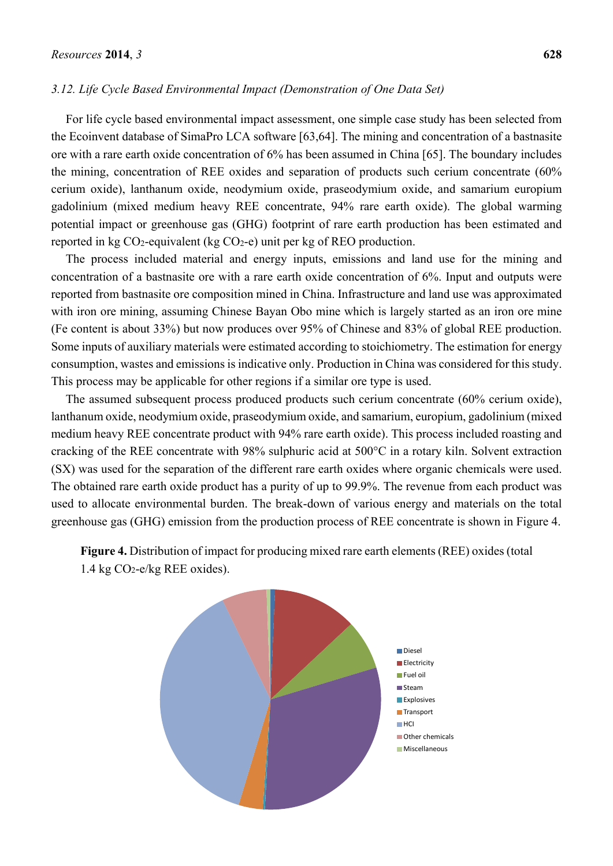## *3.12. Life Cycle Based Environmental Impact (Demonstration of One Data Set)*

For life cycle based environmental impact assessment, one simple case study has been selected from the Ecoinvent database of SimaPro LCA software [63,64]. The mining and concentration of a bastnasite ore with a rare earth oxide concentration of 6% has been assumed in China [65]. The boundary includes the mining, concentration of REE oxides and separation of products such cerium concentrate (60% cerium oxide), lanthanum oxide, neodymium oxide, praseodymium oxide, and samarium europium gadolinium (mixed medium heavy REE concentrate, 94% rare earth oxide). The global warming potential impact or greenhouse gas (GHG) footprint of rare earth production has been estimated and reported in kg  $CO<sub>2</sub>$ -equivalent (kg  $CO<sub>2</sub>$ -e) unit per kg of REO production.

The process included material and energy inputs, emissions and land use for the mining and concentration of a bastnasite ore with a rare earth oxide concentration of 6%. Input and outputs were reported from bastnasite ore composition mined in China. Infrastructure and land use was approximated with iron ore mining, assuming Chinese Bayan Obo mine which is largely started as an iron ore mine (Fe content is about 33%) but now produces over 95% of Chinese and 83% of global REE production. Some inputs of auxiliary materials were estimated according to stoichiometry. The estimation for energy consumption, wastes and emissions is indicative only. Production in China was considered for this study. This process may be applicable for other regions if a similar ore type is used.

The assumed subsequent process produced products such cerium concentrate (60% cerium oxide), lanthanum oxide, neodymium oxide, praseodymium oxide, and samarium, europium, gadolinium (mixed medium heavy REE concentrate product with 94% rare earth oxide). This process included roasting and cracking of the REE concentrate with 98% sulphuric acid at 500°C in a rotary kiln. Solvent extraction (SX) was used for the separation of the different rare earth oxides where organic chemicals were used. The obtained rare earth oxide product has a purity of up to 99.9%. The revenue from each product was used to allocate environmental burden. The break-down of various energy and materials on the total greenhouse gas (GHG) emission from the production process of REE concentrate is shown in Figure 4.



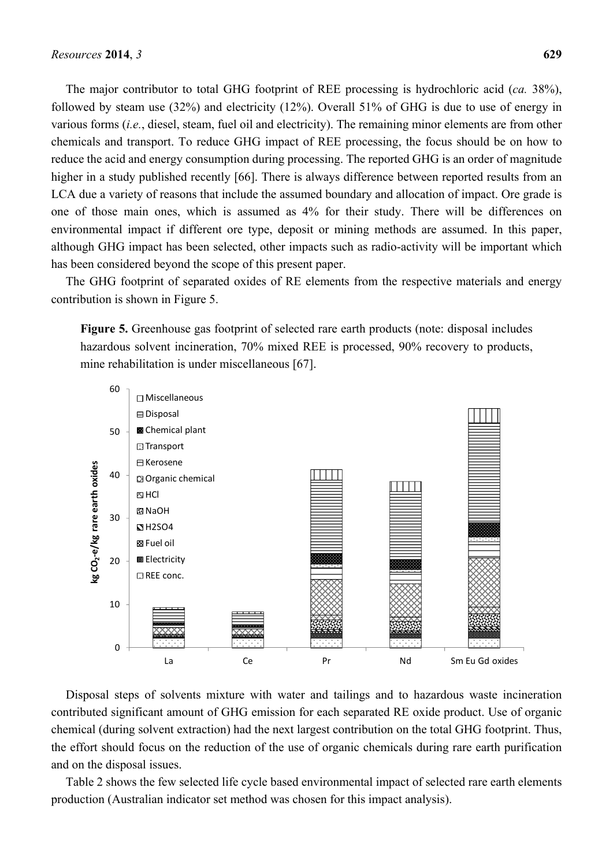The major contributor to total GHG footprint of REE processing is hydrochloric acid (*ca.* 38%), followed by steam use (32%) and electricity (12%). Overall 51% of GHG is due to use of energy in various forms (*i.e.*, diesel, steam, fuel oil and electricity). The remaining minor elements are from other chemicals and transport. To reduce GHG impact of REE processing, the focus should be on how to reduce the acid and energy consumption during processing. The reported GHG is an order of magnitude higher in a study published recently [66]. There is always difference between reported results from an LCA due a variety of reasons that include the assumed boundary and allocation of impact. Ore grade is one of those main ones, which is assumed as 4% for their study. There will be differences on environmental impact if different ore type, deposit or mining methods are assumed. In this paper, although GHG impact has been selected, other impacts such as radio-activity will be important which has been considered beyond the scope of this present paper.

The GHG footprint of separated oxides of RE elements from the respective materials and energy contribution is shown in Figure 5.

**Figure 5.** Greenhouse gas footprint of selected rare earth products (note: disposal includes hazardous solvent incineration, 70% mixed REE is processed, 90% recovery to products, mine rehabilitation is under miscellaneous [67].



Disposal steps of solvents mixture with water and tailings and to hazardous waste incineration contributed significant amount of GHG emission for each separated RE oxide product. Use of organic chemical (during solvent extraction) had the next largest contribution on the total GHG footprint. Thus, the effort should focus on the reduction of the use of organic chemicals during rare earth purification and on the disposal issues.

Table 2 shows the few selected life cycle based environmental impact of selected rare earth elements production (Australian indicator set method was chosen for this impact analysis).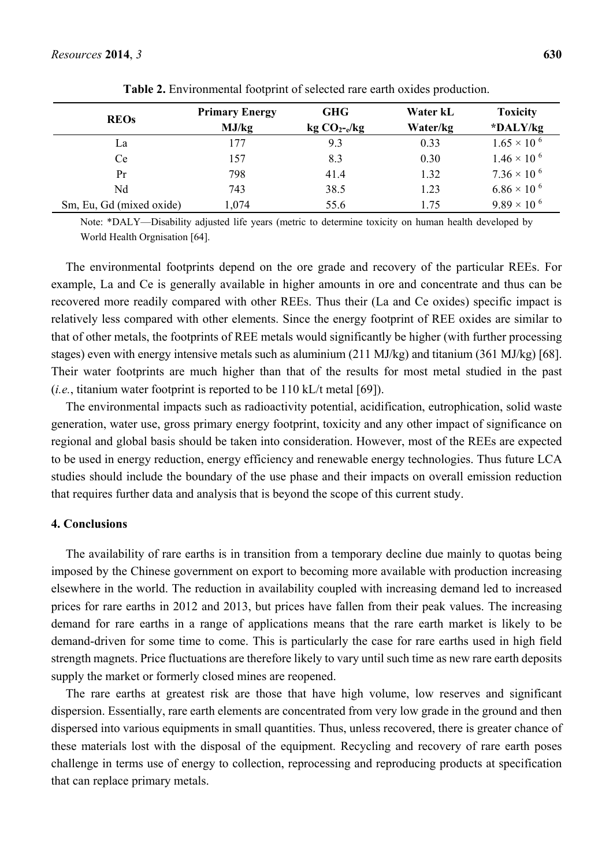| <b>REOs</b>              | <b>Primary Energy</b> | <b>GHG</b>    | Water kL | <b>Toxicity</b>       |
|--------------------------|-----------------------|---------------|----------|-----------------------|
|                          | MJ/kg                 | $kg CO2-e/kg$ | Water/kg | *DALY/kg              |
| La                       | 177                   | 9.3           | 0.33     | $1.65 \times 10^{-6}$ |
| Ce                       | 157                   | 8.3           | 0.30     | $1.46 \times 10^{-6}$ |
| Pr                       | 798                   | 41.4          | 1.32     | $7.36 \times 10^{-6}$ |
| Nd                       | 743                   | 38.5          | 1.23     | $6.86 \times 10^{-6}$ |
| Sm, Eu, Gd (mixed oxide) | 1,074                 | 55.6          | 1.75     | $9.89 \times 10^{-6}$ |

**Table 2.** Environmental footprint of selected rare earth oxides production.

Note: \*DALY—Disability adjusted life years (metric to determine toxicity on human health developed by World Health Orgnisation [64].

The environmental footprints depend on the ore grade and recovery of the particular REEs. For example, La and Ce is generally available in higher amounts in ore and concentrate and thus can be recovered more readily compared with other REEs. Thus their (La and Ce oxides) specific impact is relatively less compared with other elements. Since the energy footprint of REE oxides are similar to that of other metals, the footprints of REE metals would significantly be higher (with further processing stages) even with energy intensive metals such as aluminium (211 MJ/kg) and titanium (361 MJ/kg) [68]. Their water footprints are much higher than that of the results for most metal studied in the past (*i.e.*, titanium water footprint is reported to be  $110$  kL/t metal [69]).

The environmental impacts such as radioactivity potential, acidification, eutrophication, solid waste generation, water use, gross primary energy footprint, toxicity and any other impact of significance on regional and global basis should be taken into consideration. However, most of the REEs are expected to be used in energy reduction, energy efficiency and renewable energy technologies. Thus future LCA studies should include the boundary of the use phase and their impacts on overall emission reduction that requires further data and analysis that is beyond the scope of this current study.

# **4. Conclusions**

The availability of rare earths is in transition from a temporary decline due mainly to quotas being imposed by the Chinese government on export to becoming more available with production increasing elsewhere in the world. The reduction in availability coupled with increasing demand led to increased prices for rare earths in 2012 and 2013, but prices have fallen from their peak values. The increasing demand for rare earths in a range of applications means that the rare earth market is likely to be demand-driven for some time to come. This is particularly the case for rare earths used in high field strength magnets. Price fluctuations are therefore likely to vary until such time as new rare earth deposits supply the market or formerly closed mines are reopened.

The rare earths at greatest risk are those that have high volume, low reserves and significant dispersion. Essentially, rare earth elements are concentrated from very low grade in the ground and then dispersed into various equipments in small quantities. Thus, unless recovered, there is greater chance of these materials lost with the disposal of the equipment. Recycling and recovery of rare earth poses challenge in terms use of energy to collection, reprocessing and reproducing products at specification that can replace primary metals.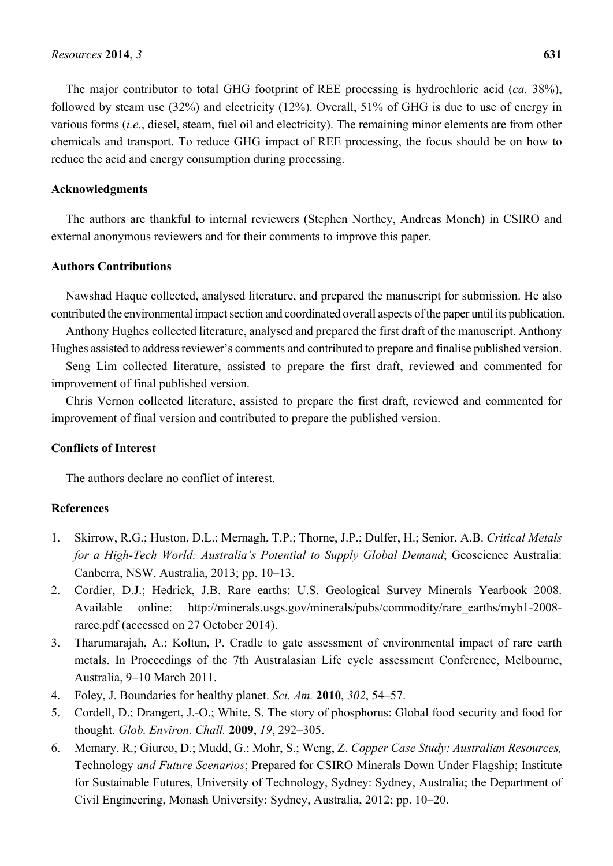The major contributor to total GHG footprint of REE processing is hydrochloric acid (*ca.* 38%), followed by steam use (32%) and electricity (12%). Overall, 51% of GHG is due to use of energy in various forms (*i.e.*, diesel, steam, fuel oil and electricity). The remaining minor elements are from other chemicals and transport. To reduce GHG impact of REE processing, the focus should be on how to reduce the acid and energy consumption during processing.

# **Acknowledgments**

The authors are thankful to internal reviewers (Stephen Northey, Andreas Monch) in CSIRO and external anonymous reviewers and for their comments to improve this paper.

# **Authors Contributions**

Nawshad Haque collected, analysed literature, and prepared the manuscript for submission. He also contributed the environmental impact section and coordinated overall aspects of the paper until its publication.

Anthony Hughes collected literature, analysed and prepared the first draft of the manuscript. Anthony Hughes assisted to address reviewer's comments and contributed to prepare and finalise published version.

Seng Lim collected literature, assisted to prepare the first draft, reviewed and commented for improvement of final published version.

Chris Vernon collected literature, assisted to prepare the first draft, reviewed and commented for improvement of final version and contributed to prepare the published version.

# **Conflicts of Interest**

The authors declare no conflict of interest.

# **References**

- 1. Skirrow, R.G.; Huston, D.L.; Mernagh, T.P.; Thorne, J.P.; Dulfer, H.; Senior, A.B. *Critical Metals for a High-Tech World: Australia's Potential to Supply Global Demand*; Geoscience Australia: Canberra, NSW, Australia, 2013; pp. 10–13.
- 2. Cordier, D.J.; Hedrick, J.B. Rare earths: U.S. Geological Survey Minerals Yearbook 2008. Available online: http://minerals.usgs.gov/minerals/pubs/commodity/rare\_earths/myb1-2008 raree.pdf (accessed on 27 October 2014).
- 3. Tharumarajah, A.; Koltun, P. Cradle to gate assessment of environmental impact of rare earth metals. In Proceedings of the 7th Australasian Life cycle assessment Conference, Melbourne, Australia, 9–10 March 2011.
- 4. Foley, J. Boundaries for healthy planet. *Sci. Am.* **2010**, *302*, 54–57.
- 5. Cordell, D.; Drangert, J.-O.; White, S. The story of phosphorus: Global food security and food for thought. *Glob. Environ. Chall.* **2009**, *19*, 292–305.
- 6. Memary, R.; Giurco, D.; Mudd, G.; Mohr, S.; Weng, Z. *Copper Case Study: Australian Resources,*  Technology *and Future Scenarios*; Prepared for CSIRO Minerals Down Under Flagship; Institute for Sustainable Futures, University of Technology, Sydney: Sydney, Australia; the Department of Civil Engineering, Monash University: Sydney, Australia, 2012; pp. 10–20.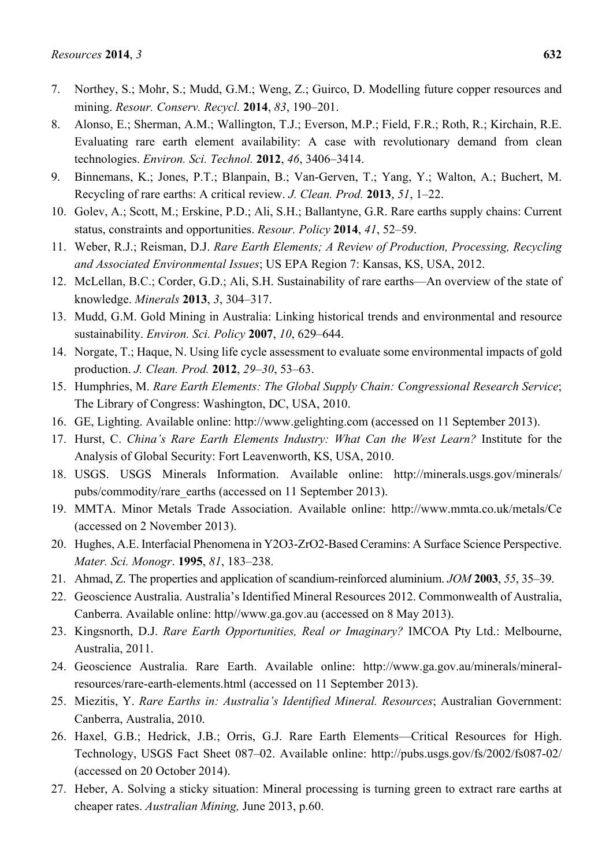- 7. Northey, S.; Mohr, S.; Mudd, G.M.; Weng, Z.; Guirco, D. Modelling future copper resources and mining. *Resour. Conserv. Recycl.* **2014**, *83*, 190–201.
- 8. Alonso, E.; Sherman, A.M.; Wallington, T.J.; Everson, M.P.; Field, F.R.; Roth, R.; Kirchain, R.E. Evaluating rare earth element availability: A case with revolutionary demand from clean technologies. *Environ. Sci. Technol.* **2012**, *46*, 3406–3414.
- 9. Binnemans, K.; Jones, P.T.; Blanpain, B.; Van-Gerven, T.; Yang, Y.; Walton, A.; Buchert, M. Recycling of rare earths: A critical review. *J. Clean. Prod.* **2013**, *51*, 1–22.
- 10. Golev, A.; Scott, M.; Erskine, P.D.; Ali, S.H.; Ballantyne, G.R. Rare earths supply chains: Current status, constraints and opportunities. *Resour. Policy* **2014**, *41*, 52–59.
- 11. Weber, R.J.; Reisman, D.J. *Rare Earth Elements; A Review of Production, Processing, Recycling and Associated Environmental Issues*; US EPA Region 7: Kansas, KS, USA, 2012.
- 12. McLellan, B.C.; Corder, G.D.; Ali, S.H. Sustainability of rare earths—An overview of the state of knowledge. *Minerals* **2013**, *3*, 304–317.
- 13. Mudd, G.M. Gold Mining in Australia: Linking historical trends and environmental and resource sustainability. *Environ. Sci. Policy* **2007**, *10*, 629–644.
- 14. Norgate, T.; Haque, N. Using life cycle assessment to evaluate some environmental impacts of gold production. *J. Clean. Prod.* **2012**, *29–30*, 53–63.
- 15. Humphries, M. *Rare Earth Elements: The Global Supply Chain: Congressional Research Service*; The Library of Congress: Washington, DC, USA, 2010.
- 16. GE, Lighting. Available online: http://www.gelighting.com (accessed on 11 September 2013).
- 17. Hurst, C. *China's Rare Earth Elements Industry: What Can the West Learn?* Institute for the Analysis of Global Security: Fort Leavenworth, KS, USA, 2010.
- 18. USGS. USGS Minerals Information. Available online: http://minerals.usgs.gov/minerals/ pubs/commodity/rare\_earths (accessed on 11 September 2013).
- 19. MMTA. Minor Metals Trade Association. Available online: http://www.mmta.co.uk/metals/Ce (accessed on 2 November 2013).
- 20. Hughes, A.E. Interfacial Phenomena in Y2O3-ZrO2-Based Ceramins: A Surface Science Perspective. *Mater. Sci. Monogr*. **1995**, *81*, 183–238.
- 21. Ahmad, Z. The properties and application of scandium-reinforced aluminium. *JOM* **2003**, *55*, 35–39.
- 22. Geoscience Australia. Australia's Identified Mineral Resources 2012. Commonwealth of Australia, Canberra. Available online: http//www.ga.gov.au (accessed on 8 May 2013).
- 23. Kingsnorth, D.J. *Rare Earth Opportunities, Real or Imaginary?* IMCOA Pty Ltd.: Melbourne, Australia, 2011.
- 24. Geoscience Australia. Rare Earth. Available online: http://www.ga.gov.au/minerals/mineralresources/rare-earth-elements.html (accessed on 11 September 2013).
- 25. Miezitis, Y. *Rare Earths in: Australia's Identified Mineral. Resources*; Australian Government: Canberra, Australia, 2010.
- 26. Haxel, G.B.; Hedrick, J.B.; Orris, G.J. Rare Earth Elements—Critical Resources for High. Technology, USGS Fact Sheet 087–02. Available online: http://pubs.usgs.gov/fs/2002/fs087-02/ (accessed on 20 October 2014).
- 27. Heber, A. Solving a sticky situation: Mineral processing is turning green to extract rare earths at cheaper rates. *Australian Mining,* June 2013, p.60.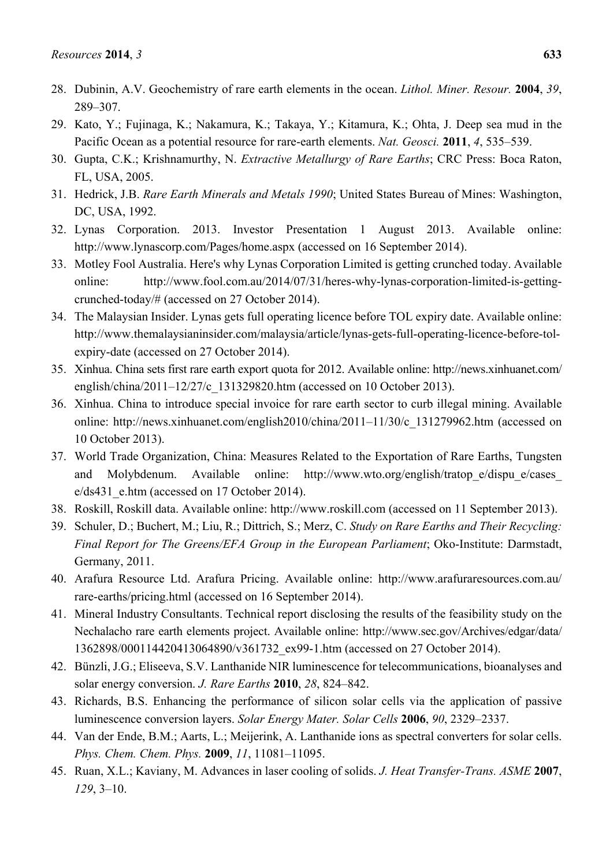- 28. Dubinin, A.V. Geochemistry of rare earth elements in the ocean. *Lithol. Miner. Resour.* **2004**, *39*, 289–307.
- 29. Kato, Y.; Fujinaga, K.; Nakamura, K.; Takaya, Y.; Kitamura, K.; Ohta, J. Deep sea mud in the Pacific Ocean as a potential resource for rare-earth elements. *Nat. Geosci.* **2011**, *4*, 535–539.
- 30. Gupta, C.K.; Krishnamurthy, N. *Extractive Metallurgy of Rare Earths*; CRC Press: Boca Raton, FL, USA, 2005.
- 31. Hedrick, J.B. *Rare Earth Minerals and Metals 1990*; United States Bureau of Mines: Washington, DC, USA, 1992.
- 32. Lynas Corporation. 2013. Investor Presentation 1 August 2013. Available online: http://www.lynascorp.com/Pages/home.aspx (accessed on 16 September 2014).
- 33. Motley Fool Australia. Here's why Lynas Corporation Limited is getting crunched today. Available online: http://www.fool.com.au/2014/07/31/heres-why-lynas-corporation-limited-is-gettingcrunched-today/# (accessed on 27 October 2014).
- 34. The Malaysian Insider. Lynas gets full operating licence before TOL expiry date. Available online: http://www.themalaysianinsider.com/malaysia/article/lynas-gets-full-operating-licence-before-tolexpiry-date (accessed on 27 October 2014).
- 35. Xinhua. China sets first rare earth export quota for 2012. Available online: http://news.xinhuanet.com/ english/china/2011–12/27/c\_131329820.htm (accessed on 10 October 2013).
- 36. Xinhua. China to introduce special invoice for rare earth sector to curb illegal mining. Available online: http://news.xinhuanet.com/english2010/china/2011–11/30/c\_131279962.htm (accessed on 10 October 2013).
- 37. World Trade Organization, China: Measures Related to the Exportation of Rare Earths, Tungsten and Molybdenum. Available online: http://www.wto.org/english/tratope/dispue/cases e/ds431 e.htm (accessed on 17 October 2014).
- 38. Roskill, Roskill data. Available online: http://www.roskill.com (accessed on 11 September 2013).
- 39. Schuler, D.; Buchert, M.; Liu, R.; Dittrich, S.; Merz, C. *Study on Rare Earths and Their Recycling: Final Report for The Greens/EFA Group in the European Parliament*; Oko-Institute: Darmstadt, Germany, 2011.
- 40. Arafura Resource Ltd. Arafura Pricing. Available online: http://www.arafuraresources.com.au/ rare-earths/pricing.html (accessed on 16 September 2014).
- 41. Mineral Industry Consultants. Technical report disclosing the results of the feasibility study on the Nechalacho rare earth elements project. Available online: http://www.sec.gov/Archives/edgar/data/ 1362898/000114420413064890/v361732\_ex99-1.htm (accessed on 27 October 2014).
- 42. Bünzli, J.G.; Eliseeva, S.V. Lanthanide NIR luminescence for telecommunications, bioanalyses and solar energy conversion. *J. Rare Earths* **2010**, *28*, 824–842.
- 43. Richards, B.S. Enhancing the performance of silicon solar cells via the application of passive luminescence conversion layers. *Solar Energy Mater. Solar Cells* **2006**, *90*, 2329–2337.
- 44. Van der Ende, B.M.; Aarts, L.; Meijerink, A. Lanthanide ions as spectral converters for solar cells. *Phys. Chem. Chem. Phys.* **2009**, *11*, 11081–11095.
- 45. Ruan, X.L.; Kaviany, M. Advances in laser cooling of solids. *J. Heat Transfer-Trans. ASME* **2007**, *129*, 3–10.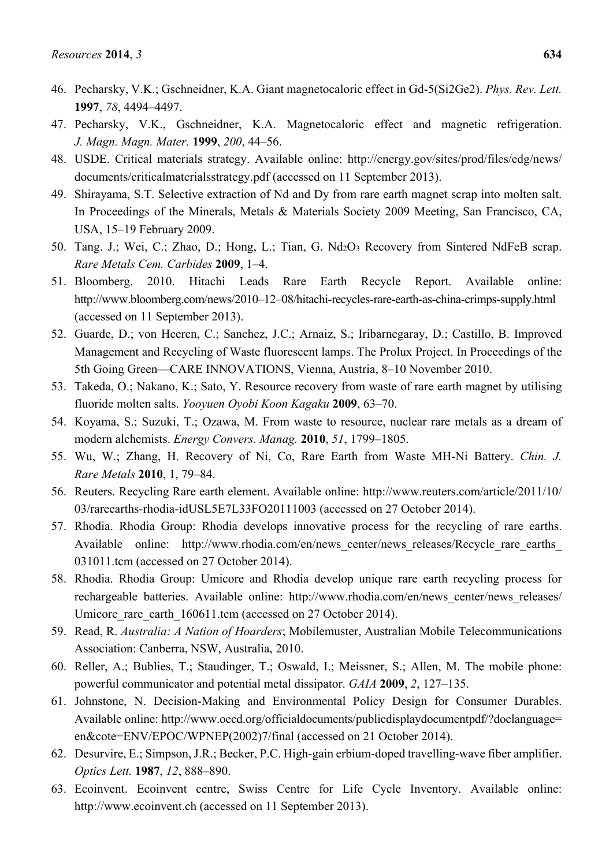- 46. Pecharsky, V.K.; Gschneidner, K.A. Giant magnetocaloric effect in Gd-5(Si2Ge2). *Phys. Rev. Lett.* **1997**, *78*, 4494–4497.
- 47. Pecharsky, V.K., Gschneidner, K.A. Magnetocaloric effect and magnetic refrigeration. *J. Magn. Magn. Mater.* **1999**, *200*, 44–56.
- 48. USDE. Critical materials strategy. Available online: http://energy.gov/sites/prod/files/edg/news/ documents/criticalmaterialsstrategy.pdf (accessed on 11 September 2013).
- 49. Shirayama, S.T. Selective extraction of Nd and Dy from rare earth magnet scrap into molten salt. In Proceedings of the Minerals, Metals & Materials Society 2009 Meeting, San Francisco, CA, USA, 15–19 February 2009.
- 50. Tang. J.; Wei, C.; Zhao, D.; Hong, L.; Tian, G. Nd2O3 Recovery from Sintered NdFeB scrap. *Rare Metals Cem. Carbides* **2009**, 1–4.
- 51. Bloomberg. 2010. Hitachi Leads Rare Earth Recycle Report. Available online: http://www.bloomberg.com/news/2010–12–08/hitachi-recycles-rare-earth-as-china-crimps-supply.html (accessed on 11 September 2013).
- 52. Guarde, D.; von Heeren, C.; Sanchez, J.C.; Arnaiz, S.; Iribarnegaray, D.; Castillo, B. Improved Management and Recycling of Waste fluorescent lamps. The Prolux Project. In Proceedings of the 5th Going Green—CARE INNOVATIONS, Vienna, Austria, 8–10 November 2010.
- 53. Takeda, O.; Nakano, K.; Sato, Y. Resource recovery from waste of rare earth magnet by utilising fluoride molten salts. *Yooyuen Oyobi Koon Kagaku* **2009**, 63–70.
- 54. Koyama, S.; Suzuki, T.; Ozawa, M. From waste to resource, nuclear rare metals as a dream of modern alchemists. *Energy Convers. Manag.* **2010**, *51*, 1799–1805.
- 55. Wu, W.; Zhang, H. Recovery of Ni, Co, Rare Earth from Waste MH-Ni Battery. *Chin. J. Rare Metals* **2010**, 1, 79–84.
- 56. Reuters. Recycling Rare earth element. Available online: http://www.reuters.com/article/2011/10/ 03/rareearths-rhodia-idUSL5E7L33FO20111003 (accessed on 27 October 2014).
- 57. Rhodia. Rhodia Group: Rhodia develops innovative process for the recycling of rare earths. Available online: http://www.rhodia.com/en/news center/news releases/Recycle rare earths 031011.tcm (accessed on 27 October 2014).
- 58. Rhodia. Rhodia Group: Umicore and Rhodia develop unique rare earth recycling process for rechargeable batteries. Available online: http://www.rhodia.com/en/news\_center/news\_releases/ Umicore rare earth  $160611$ .tcm (accessed on 27 October 2014).
- 59. Read, R. *Australia: A Nation of Hoarders*; Mobilemuster, Australian Mobile Telecommunications Association: Canberra, NSW, Australia, 2010.
- 60. Reller, A.; Bublies, T.; Staudinger, T.; Oswald, I.; Meissner, S.; Allen, M. The mobile phone: powerful communicator and potential metal dissipator. *GAIA* **2009**, *2*, 127–135.
- 61. Johnstone, N. Decision-Making and Environmental Policy Design for Consumer Durables. Available online: http://www.oecd.org/officialdocuments/publicdisplaydocumentpdf/?doclanguage= en&cote=ENV/EPOC/WPNEP(2002)7/final (accessed on 21 October 2014).
- 62. Desurvire, E.; Simpson, J.R.; Becker, P.C. High-gain erbium-doped travelling-wave fiber amplifier. *Optics Lett.* **1987**, *12*, 888–890.
- 63. Ecoinvent. Ecoinvent centre, Swiss Centre for Life Cycle Inventory. Available online: http://www.ecoinvent.ch (accessed on 11 September 2013).